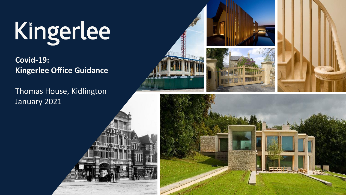# Kingerlee

**Covid-19: Kingerlee Office Guidance**

Thomas House, Kidlington January 2021





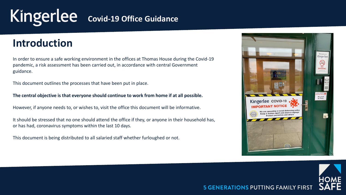# **Introduction**

In order to ensure a safe working environment in the offices at Thomas House during the Covid-19 pandemic, a risk assessment has been carried out, in accordance with central Government guidance.

This document outlines the processes that have been put in place.

**The central objective is that everyone should continue to work from home if at all possible.**

However, if anyone needs to, or wishes to, visit the office this document will be informative.

It should be stressed that no one should attend the office if they, or anyone in their household has, or has had, coronavirus symptoms within the last 10 days.

This document is being distributed to all salaried staff whether furloughed or not.



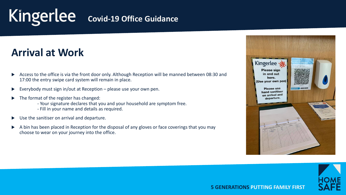# **Arrival at Work**

- Access to the office is via the front door only. Although Reception will be manned between 08:30 and 17:00 the entry swipe card system will remain in place.
- Everybody must sign in/out at Reception please use your own pen.
- The format of the register has changed:
	- Your signature declares that you and your household are symptom free.
	- Fill in your name and details as required.
- Use the sanitiser on arrival and departure.
- A bin has been placed in Reception for the disposal of any gloves or face coverings that you may choose to wear on your journey into the office.



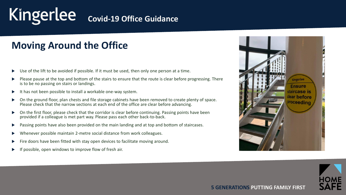# **Moving Around the Office**

- Use of the lift to be avoided if possible. If it must be used, then only one person at a time.
- Please pause at the top and bottom of the stairs to ensure that the route is clear before progressing. There is to be no passing on stairs or landings.
- $\blacktriangleright$  It has not been possible to install a workable one-way system.
- On the ground floor, plan chests and file storage cabinets have been removed to create plenty of space. Please check that the narrow sections at each end of the office are clear before advancing.
- On the first floor, please check that the corridor is clear before continuing. Passing points have been provided if a colleague is met part way. Please pass each other back-to-back.
- **Passing points have also been provided on the main landing and at top and bottom of staircases.**
- Whenever possible maintain 2-metre social distance from work colleagues.
- Fire doors have been fitted with stay open devices to facilitate moving around.
- possible, open windows to improve flow of fresh air.



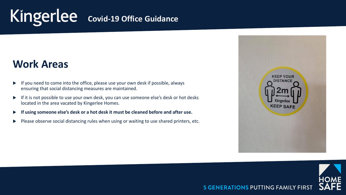# **Work Areas**

- $\blacktriangleright$  If you need to come into the office, please use your own desk if possible, always ensuring that social distancing measures are maintained.
- If it is not possible to use your own desk, you can use someone else's desk or hot desks located in the area vacated by Kingerlee Homes.
- **If using someone else's desk or a hot desk it must be cleaned before and after use.**
- Please observe social distancing rules when using or waiting to use shared printers, etc.



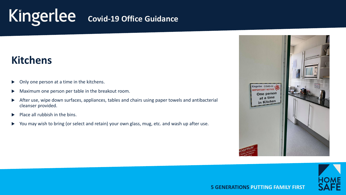# **Kitchens**

- Only one person at a time in the kitchens.
- Maximum one person per table in the breakout room.
- After use, wipe down surfaces, appliances, tables and chairs using paper towels and antibacterial cleanser provided.
- $\blacktriangleright$  Place all rubbish in the bins.
- ▶ You may wish to bring (or select and retain) your own glass, mug, etc. and wash up after use.



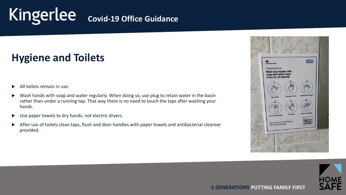# **Hygiene and Toilets**

- All toilets remain in use.
- Wash hands with soap and water regularly. When doing so, use plug to retain water in the basin rather than under a running tap. That way there is no need to touch the taps after washing your hands.
- ▶ Use paper towels to dry hands, not electric dryers.
- After use of toilets clean taps, flush and door handles with paper towels and antibacterial cleanser provided.



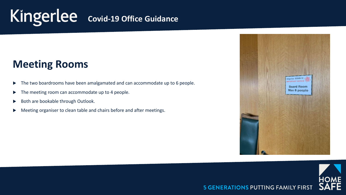# **Meeting Rooms**

- The two boardrooms have been amalgamated and can accommodate up to 6 people.
- The meeting room can accommodate up to 4 people.
- Both are bookable through Outlook.
- Meeting organiser to clean table and chairs before and after meetings.